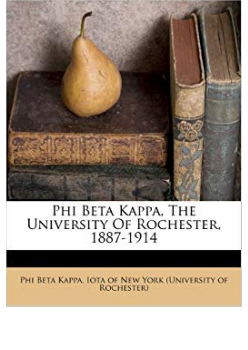

## PHI BETA KAPPA, THE UNIVERSITY OF ROCHESTER.

PHI BETA KAPPA. IOTA OF NEW YORK (UNIVERSITY OF **ROCHESTER**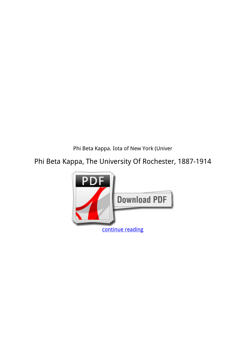*Phi Beta Kappa. Iota of New York (Univer*

**Phi Beta Kappa, The University Of Rochester, 1887-1914**

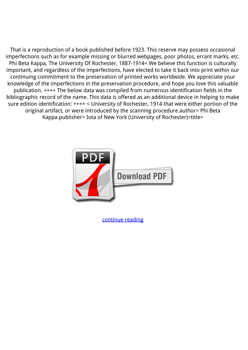That is a reproduction of a book published before 1923. This reserve may possess occasional imperfections such as for example missing or blurred webpages, poor photos, errant marks, etc. Phi Beta Kappa, The University Of Rochester, 1887-1914< We believe this function is culturally important, and regardless of the imperfections, have elected to take it back into print within our continuing commitment to the preservation of printed works worldwide. We appreciate your knowledge of the imperfections in the preservation procedure, and hope you love this valuable publication. ++++ The below data was compiled from numerous identification fields in the bibliographic record of the name. This data is offered as an additional device in helping to make sure edition identification: ++++ < University of Rochester, 1914 that were either portion of the original artifact, or were introduced by the scanning procedure.author> Phi Beta Kappa.publisher> Iota of New York (University of Rochester)<title>



[continue reading](http://bit.ly/2Tge8Fv)